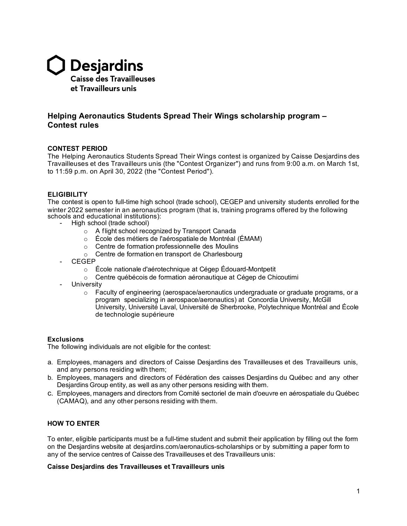

# **Helping Aeronautics Students Spread Their Wings scholarship program – Contest rules**

### **CONTEST PERIOD**

The Helping Aeronautics Students Spread Their Wings contest is organized by Caisse Desjardins des Travailleuses et des Travailleurs unis (the "Contest Organizer") and runs from 9:00 a.m. on March 1st, to 11:59 p.m. on April 30, 2022 (the "Contest Period").

#### **ELIGIBILITY**

The contest is open to full-time high school (trade school), CEGEP and university students enrolled for the winter 2022 semester in an aeronautics program (that is, training programs offered by the following schools and educational institutions):

- High school (trade school)
	- o A flight school recognized by Transport Canada
	- o École des métiers de l'aérospatiale de Montréal (ÉMAM)
	- o Centre de formation professionnelle des Moulins
	- o Centre de formation en transport de Charlesbourg
	- CEGEP
		- o École nationale d'aérotechnique at Cégep Édouard-Montpetit
		- o Centre québécois de formation aéronautique at Cégep de Chicoutimi
- **University** 
	- $\circ$  Faculty of engineering (aerospace/aeronautics undergraduate or graduate programs, or a program specializing in aerospace/aeronautics) at Concordia University, McGill University, Université Laval, Université de Sherbrooke, Polytechnique Montréal and École de technologie supérieure

#### **Exclusions**

The following individuals are not eligible for the contest:

- a. Employees, managers and directors of Caisse Desjardins des Travailleuses et des Travailleurs unis, and any persons residing with them;
- b. Employees, managers and directors of Fédération des caisses Desjardins du Québec and any other Desjardins Group entity, as well as any other persons residing with them.
- c. Employees, managers and directors from Comité sectoriel de main d'oeuvre en aérospatiale du Québec (CAMAQ), and any other persons residing with them.

# **HOW TO ENTER**

To enter, eligible participants must be a full-time student and submit their application by filling out the form on the Desjardins website at desjardins.com/aeronautics-scholarships or by submitting a paper form to any of the service centres of Caisse des Travailleuses et des Travailleurs unis:

#### **Caisse Desjardins des Travailleuses et Travailleurs unis**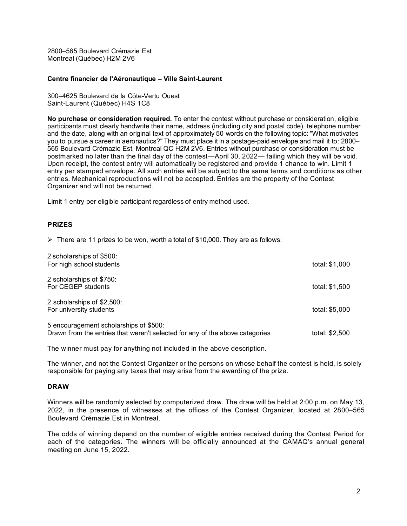2800–565 Boulevard Crémazie Est Montreal (Québec) H2M 2V6

#### **Centre financier de l'Aéronautique – Ville Saint-Laurent**

300–4625 Boulevard de la Côte-Vertu Ouest Saint-Laurent (Québec) H4S 1C8

**No purchase or consideration required.** To enter the contest without purchase or consideration, eligible participants must clearly handwrite their name, address (including city and postal code), telephone number and the date, along with an original text of approximately 50 words on the following topic: "What motivates you to pursue a career in aeronautics?" They must place it in a postage-paid envelope and mail it to: 2800– 565 Boulevard Crémazie Est, Montreal QC H2M 2V6. Entries without purchase or consideration must be postmarked no later than the final day of the contest—April 30, 2022— failing which they will be void. Upon receipt, the contest entry will automatically be registered and provide 1 chance to win. Limit 1 entry per stamped envelope. All such entries will be subject to the same terms and conditions as other entries. Mechanical reproductions will not be accepted. Entries are the property of the Contest Organizer and will not be returned.

Limit 1 entry per eligible participant regardless of entry method used.

### **PRIZES**

 $\triangleright$  There are 11 prizes to be won, worth a total of \$10,000. They are as follows:

| 2 scholarships of \$500:<br>For high school students                                                                   | total: \$1,000 |
|------------------------------------------------------------------------------------------------------------------------|----------------|
| 2 scholarships of \$750:<br>For CEGEP students                                                                         | total: \$1,500 |
| 2 scholarships of \$2,500:<br>For university students                                                                  | total: \$5,000 |
| 5 encouragement scholarships of \$500:<br>Drawn from the entries that weren't selected for any of the above categories | total: \$2,500 |

The winner must pay for anything not included in the above description.

The winner, and not the Contest Organizer or the persons on whose behalf the contest is held, is solely responsible for paying any taxes that may arise from the awarding of the prize.

#### **DRAW**

Winners will be randomly selected by computerized draw. The draw will be held at 2:00 p.m. on May 13, 2022, in the presence of witnesses at the offices of the Contest Organizer, located at 2800–565 Boulevard Crémazie Est in Montreal.

The odds of winning depend on the number of eligible entries received during the Contest Period for each of the categories. The winners will be officially announced at the CAMAQ's annual general meeting on June 15, 2022.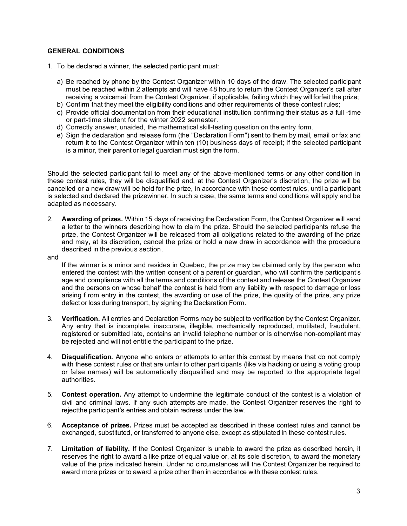# **GENERAL CONDITIONS**

- 1. To be declared a winner, the selected participant must:
	- a) Be reached by phone by the Contest Organizer within 10 days of the draw. The selected participant must be reached within 2 attempts and will have 48 hours to return the Contest Organizer's call after receiving a voicemail from the Contest Organizer, if applicable, failing which they will forfeit the prize;
	- b) Confirm that they meet the eligibility conditions and other requirements of these contest rules;
	- c) Provide official documentation from their educational institution confirming their status as a full -time or part-time student for the winter 2022 semester.
	- d) Correctly answer, unaided, the mathematical skill-testing question on the entry form.
	- e) Sign the declaration and release form (the "Declaration Form") sent to them by mail, email or fax and return it to the Contest Organizer within ten (10) business days of receipt; If the selected participant is a minor, their parent or legal guardian must sign the form.

Should the selected participant fail to meet any of the above-mentioned terms or any other condition in these contest rules, they will be disqualified and, at the Contest Organizer's discretion, the prize will be cancelled or a new draw will be held for the prize, in accordance with these contest rules, until a participant is selected and declared the prizewinner. In such a case, the same terms and conditions will apply and be adapted as necessary.

2. **Awarding of prizes.** Within 15 days of receiving the Declaration Form, the ContestOrganizer will send a letter to the winners describing how to claim the prize. Should the selected participants refuse the prize, the Contest Organizer will be released from all obligations related to the awarding of the prize and may, at its discretion, cancel the prize or hold a new draw in accordance with the procedure described in the previous section.

#### and

If the winner is a minor and resides in Quebec, the prize may be claimed only by the person who entered the contest with the written consent of a parent or guardian, who will confirm the participant's age and compliance with all the terms and conditions of the contest and release the Contest Organizer and the persons on whose behalf the contest is held from any liability with respect to damage or loss arising f rom entry in the contest, the awarding or use of the prize, the quality of the prize, any prize defect or loss during transport, by signing the Declaration Form.

- 3. **Verification.** All entries and Declaration Forms may be subject to verification by the Contest Organizer. Any entry that is incomplete, inaccurate, illegible, mechanically reproduced, mutilated, fraudulent, registered or submitted late, contains an invalid telephone number or is otherwise non-compliant may be rejected and will not entitle the participant to the prize.
- 4. **Disqualification.** Anyone who enters or attempts to enter this contest by means that do not comply with these contest rules or that are unfair to other participants (like via hacking or using a voting group or false names) will be automatically disqualified and may be reported to the appropriate legal authorities.
- 5. **Contest operation.** Any attempt to undermine the legitimate conduct of the contest is a violation of civil and criminal laws. If any such attempts are made, the Contest Organizer reserves the right to rejectthe participant's entries and obtain redress under the law.
- 6. **Acceptance of prizes.** Prizes must be accepted as described in these contest rules and cannot be exchanged, substituted, or transferred to anyone else, except as stipulated in these contest rules.
- 7. **Limitation of liability.** If the Contest Organizer is unable to award the prize as described herein, it reserves the right to award a like prize of equal value or, at its sole discretion, to award the monetary value of the prize indicated herein. Under no circumstances will the Contest Organizer be required to award more prizes or to award a prize other than in accordance with these contest rules.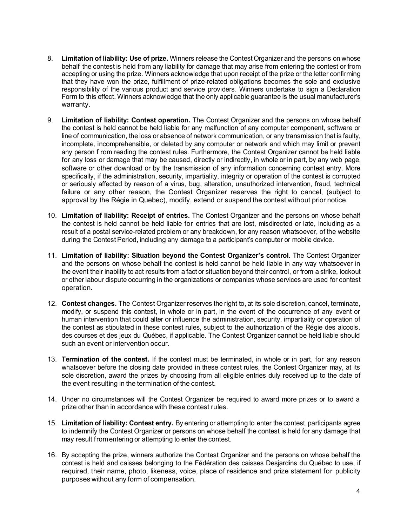- 8. **Limitation of liability: Use of prize.** Winners release the Contest Organizer and the persons on whose behalf the contest is held from any liability for damage that may arise from entering the contest or from accepting or using the prize. Winners acknowledge that upon receipt of the prize or the letter confirming that they have won the prize, fulfillment of prize-related obligations becomes the sole and exclusive responsibility of the various product and service providers. Winners undertake to sign a Declaration Form to this effect. Winners acknowledge that the only applicable guarantee is the usual manufacturer's warranty.
- 9. **Limitation of liability: Contest operation.** The Contest Organizer and the persons on whose behalf the contest is held cannot be held liable for any malfunction of any computer component, software or line of communication, the loss or absence of network communication, or any transmission that is faulty, incomplete, incomprehensible, or deleted by any computer or network and which may limit or prevent any person f rom reading the contest rules. Furthermore, the Contest Organizer cannot be held liable for any loss or damage that may be caused, directly or indirectly, in whole or in part, by any web page, software or other download or by the transmission of any information concerning contest entry. More specifically, if the administration, security, impartiality, integrity or operation of the contest is corrupted or seriously affected by reason of a virus, bug, alteration, unauthorized intervention, fraud, technical failure or any other reason, the Contest Organizer reserves the right to cancel, (subject to approval by the Régie in Quebec), modify, extend or suspend the contest without prior notice.
- 10. **Limitation of liability: Receipt of entries.** The Contest Organizer and the persons on whose behalf the contest is held cannot be held liable for entries that are lost, misdirected or late, including as a result of a postal service-related problem or any breakdown, for any reason whatsoever, of the website during the Contest Period, including any damage to a participant's computer or mobile device.
- 11. **Limitation of liability: Situation beyond the Contest Organizer's control.** The Contest Organizer and the persons on whose behalf the contest is held cannot be held liable in any way whatsoever in the event their inability to act results from a fact or situation beyond their control, or from a strike, lockout or other labour dispute occurring in the organizations or companies whose services are used for contest operation.
- 12. **Contest changes.** The Contest Organizer reserves the right to, at its sole discretion, cancel, terminate, modify, or suspend this contest, in whole or in part, in the event of the occurrence of any event or human intervention that could alter or influence the administration, security, impartiality or operation of the contest as stipulated in these contest rules, subject to the authorization of the Régie des alcools, des courses et des jeux du Québec, if applicable. The Contest Organizer cannot be held liable should such an event or intervention occur.
- 13. **Termination of the contest.** If the contest must be terminated, in whole or in part, for any reason whatsoever before the closing date provided in these contest rules, the Contest Organizer may, at its sole discretion, award the prizes by choosing from all eligible entries duly received up to the date of the event resulting in the termination of the contest.
- 14. Under no circumstances will the Contest Organizer be required to award more prizes or to award a prize other than in accordance with these contest rules.
- 15. **Limitation of liability: Contest entry.** By entering or attempting to enter the contest, participants agree to indemnify the Contest Organizer or persons on whose behalf the contest is held for any damage that may result fromentering or attempting to enter the contest.
- 16. By accepting the prize, winners authorize the Contest Organizer and the persons on whose behalf the contest is held and caisses belonging to the Fédération des caisses Desjardins du Québec to use, if required, their name, photo, likeness, voice, place of residence and prize statement for publicity purposes without any form of compensation.